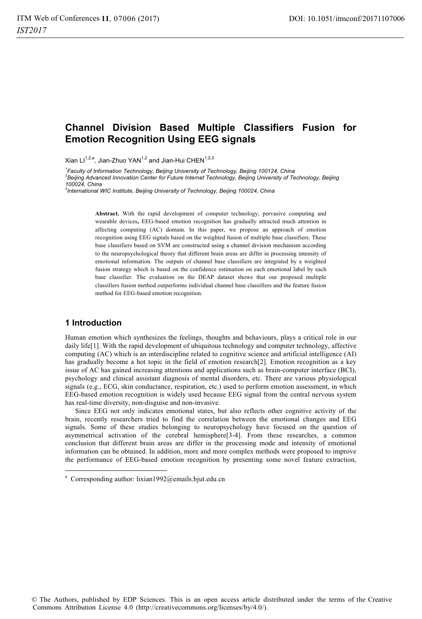## **Channel Division Based Multiple Classifiers Fusion for Emotion Recognition Using EEG signals**

Xian  $LI^{1,2,a}$ , Jian-Zhuo YAN<sup>1,2</sup> and Jian-Hui CHEN<sup>1,2,3</sup>

<sup>1</sup> Faculty of Information Technology, Beijing University of Technology, Beijing 100124, China<br><sup>2</sup> Poijing Advanced Innovation Center for Future Internet Technology, Beijing University of Te *Beijing Advanced Innovation Center for Future Internet Technology, Beijing University of Technology, Beijing* 

*100024, China* 

3 *International WIC Institute, Beijing University of Technology, Beijing 100024, China* 

**Abstract.** With the rapid development of computer technology, pervasive computing and wearable devices**,** EEG-based emotion recognition has gradually attracted much attention in affecting computing (AC) domain. In this paper, we propose an approach of emotion recognition using EEG signals based on the weighted fusion of multiple base classifiers. These base classifiers based on SVM are constructed using a channel division mechanism according to the neuropsychological theory that different brain areas are differ in processing intensity of emotional information. The outputs of channel base classifiers are integrated by a weighted fusion strategy which is based on the confidence estimation on each emotional label by each base classifier. The evaluation on the DEAP dataset shows that our proposed multiple classifiers fusion method outperforms individual channel base classifiers and the feature fusion method for EEG-based emotion recognition.

## **1 Introduction**

j

Human emotion which synthesizes the feelings, thoughts and behaviours, plays a critical role in our daily life[1]. With the rapid development of ubiquitous technology and computer technology, affective computing (AC) which is an interdiscipline related to cognitive science and artificial intelligence (AI) has gradually become a hot topic in the field of emotion research[2]. Emotion recognition as a key issue of AC has gained increasing attentions and applications such as brain-computer interface (BCI), psychology and clinical assistant diagnosis of mental disorders, etc. There are various physiological signals (e.g., ECG, skin conductance, respiration, etc.) used to perform emotion assessment, in which EEG-based emotion recognition is widely used because EEG signal from the central nervous system has real-time diversity, non-disguise and non-invasive.

Since EEG not only indicates emotional states, but also reflects other cognitive activity of the brain, recently researchers tried to find the correlation between the emotional changes and EEG signals. Some of these studies belonging to neuropsychology have focused on the question of asymmetrical activation of the cerebral hemisphere[3-4]. From these researches, a common conclusion that different brain areas are differ in the processing mode and intensity of emotional information can be obtained. In addition, more and more complex methods were proposed to improve the performance of EEG-based emotion recognition by presenting some novel feature extraction,

<sup>&</sup>lt;sup>a</sup> Corresponding author: lixian1992@emails.bjut.edu.cn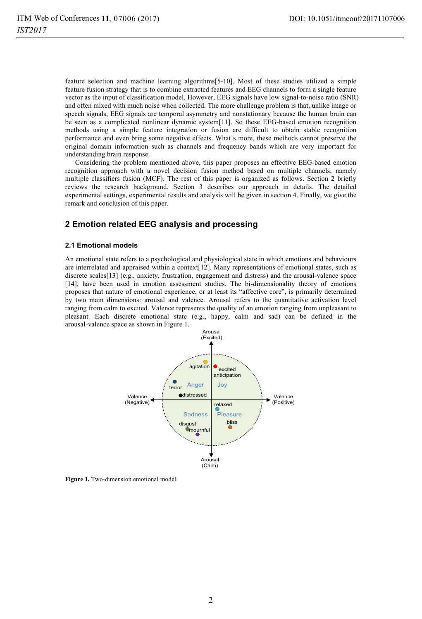feature selection and machine learning algorithms[5-10]. Most of these studies utilized a simple feature fusion strategy that is to combine extracted features and EEG channels to form a single feature vector as the input of classification model. However, EEG signals have low signal-to-noise ratio (SNR) and often mixed with much noise when collected. The more challenge problem is that, unlike image or speech signals, EEG signals are temporal asymmetry and nonstationary because the human brain can be seen as a complicated nonlinear dynamic system[11]. So these EEG-based emotion recognition methods using a simple feature integration or fusion are difficult to obtain stable recognition performance and even bring some negative effects. What's more, these methods cannot preserve the original domain information such as channels and frequency bands which are very important for understanding brain response.

Considering the problem mentioned above, this paper proposes an effective EEG-based emotion recognition approach with a novel decision fusion method based on multiple channels, namely multiple classifiers fusion (MCF). The rest of this paper is organized as follows. Section 2 briefly reviews the research background. Section 3 describes our approach in details. The detailed experimental settings, experimental results and analysis will be given in section 4. Finally, we give the remark and conclusion of this paper.

## **2 Emotion related EEG analysis and processing**

#### **2.1 Emotional models**

An emotional state refers to a psychological and physiological state in which emotions and behaviours are interrelated and appraised within a context[12]. Many representations of emotional states, such as discrete scales[13] (e.g., anxiety, frustration, engagement and distress) and the arousal-valence space [14], have been used in emotion assessment studies. The bi-dimensionality theory of emotions proposes that nature of emotional experience, or at least its "affective core", is primarily determined by two main dimensions: arousal and valence. Arousal refers to the quantitative activation level ranging from calm to excited. Valence represents the quality of an emotion ranging from unpleasant to pleasant. Each discrete emotional state (e.g., happy, calm and sad) can be defined in the arousal-valence space as shown in Figure 1.



Figure 1. Two-dimension emotional model.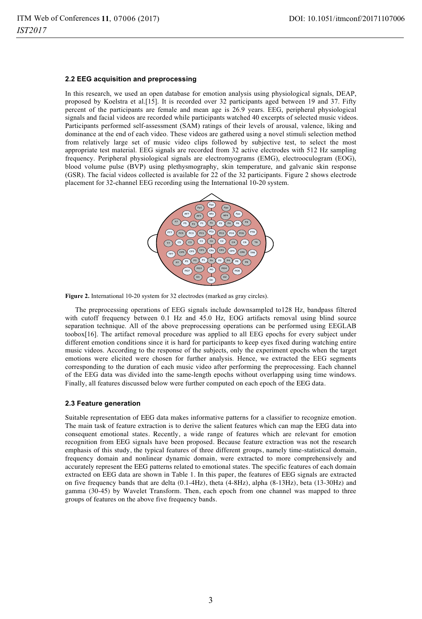#### **2.2 EEG acquisition and preprocessing**

In this research, we used an open database for emotion analysis using physiological signals, DEAP, proposed by Koelstra et al.[15]. It is recorded over 32 participants aged between 19 and 37. Fifty percent of the participants are female and mean age is 26.9 years. EEG, peripheral physiological signals and facial videos are recorded while participants watched 40 excerpts of selected music videos. Participants performed self-assessment (SAM) ratings of their levels of arousal, valence, liking and dominance at the end of each video. These videos are gathered using a novel stimuli selection method from relatively large set of music video clips followed by subjective test, to select the most appropriate test material. EEG signals are recorded from 32 active electrodes with 512 Hz sampling frequency. Peripheral physiological signals are electromyograms (EMG), electrooculogram (EOG), blood volume pulse (BVP) using plethysmography, skin temperature, and galvanic skin response (GSR). The facial videos collected is available for 22 of the 32 participants. Figure 2 shows electrode placement for 32-channel EEG recording using the International 10-20 system.



**Figure 2.** International 10-20 system for 32 electrodes (marked as gray circles).

The preprocessing operations of EEG signals include downsampled to128 Hz, bandpass filtered with cutoff frequency between 0.1 Hz and 45.0 Hz, EOG artifacts removal using blind source separation technique. All of the above preprocessing operations can be performed using EEGLAB toobox[16]. The artifact removal procedure was applied to all EEG epochs for every subject under different emotion conditions since it is hard for participants to keep eyes fixed during watching entire music videos. According to the response of the subjects, only the experiment epochs when the target emotions were elicited were chosen for further analysis. Hence, we extracted the EEG segments corresponding to the duration of each music video after performing the preprocessing. Each channel of the EEG data was divided into the same-length epochs without overlapping using time windows. Finally, all features discussed below were further computed on each epoch of the EEG data.

#### **2.3 Feature generation**

Suitable representation of EEG data makes informative patterns for a classifier to recognize emotion. The main task of feature extraction is to derive the salient features which can map the EEG data into consequent emotional states. Recently, a wide range of features which are relevant for emotion recognition from EEG signals have been proposed. Because feature extraction was not the research emphasis of this study, the typical features of three different groups, namely time-statistical domain, frequency domain and nonlinear dynamic domain, were extracted to more comprehensively and accurately represent the EEG patterns related to emotional states. The specific features of each domain extracted on EEG data are shown in Table 1. In this paper, the features of EEG signals are extracted on five frequency bands that are delta (0.1-4Hz), theta (4-8Hz), alpha (8-13Hz), beta (13-30Hz) and gamma (30-45) by Wavelet Transform. Then, each epoch from one channel was mapped to three groups of features on the above five frequency bands.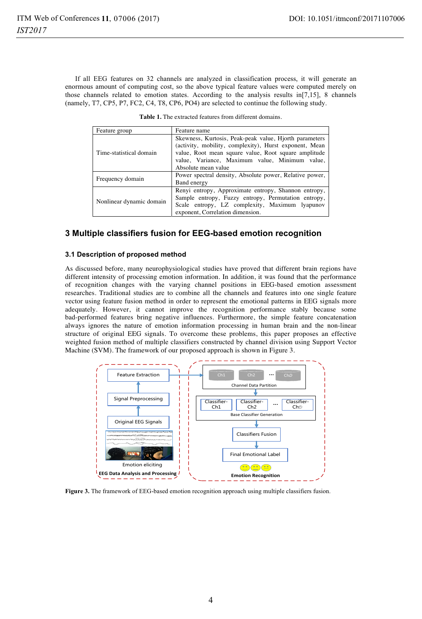If all EEG features on 32 channels are analyzed in classification process, it will generate an enormous amount of computing cost, so the above typical feature values were computed merely on those channels related to emotion states. According to the analysis results in[7,15], 8 channels (namely, T7, CP5, P7, FC2, C4, T8, CP6, PO4) are selected to continue the following study.

| Feature group            | Feature name                                                                                                                                                                                                                                      |  |  |  |  |
|--------------------------|---------------------------------------------------------------------------------------------------------------------------------------------------------------------------------------------------------------------------------------------------|--|--|--|--|
| Time-statistical domain  | Skewness, Kurtosis, Peak-peak value, Hjorth parameters<br>(activity, mobility, complexity), Hurst exponent, Mean<br>value, Root mean square value, Root square amplitude<br>value, Variance, Maximum value, Minimum value,<br>Absolute mean value |  |  |  |  |
| Frequency domain         | Power spectral density, Absolute power, Relative power,<br>Band energy                                                                                                                                                                            |  |  |  |  |
| Nonlinear dynamic domain | Renyi entropy, Approximate entropy, Shannon entropy,<br>Sample entropy, Fuzzy entropy, Permutation entropy,<br>Scale entropy, LZ complexity, Maximum lyapunov<br>exponent, Correlation dimension.                                                 |  |  |  |  |

## **3 Multiple classifiers fusion for EEG-based emotion recognition**

## **3.1 Description of proposed method**

As discussed before, many neurophysiological studies have proved that different brain regions have different intensity of processing emotion information. In addition, it was found that the performance of recognition changes with the varying channel positions in EEG-based emotion assessment researches. Traditional studies are to combine all the channels and features into one single feature vector using feature fusion method in order to represent the emotional patterns in EEG signals more adequately. However, it cannot improve the recognition performance stably because some bad-performed features bring negative influences. Furthermore, the simple feature concatenation always ignores the nature of emotion information processing in human brain and the non-linear structure of original EEG signals. To overcome these problems, this paper proposes an effective weighted fusion method of multiple classifiers constructed by channel division using Support Vector Machine (SVM). The framework of our proposed approach is shown in Figure 3.



**Figure 3.** The framework of EEG-based emotion recognition approach using multiple classifiers fusion.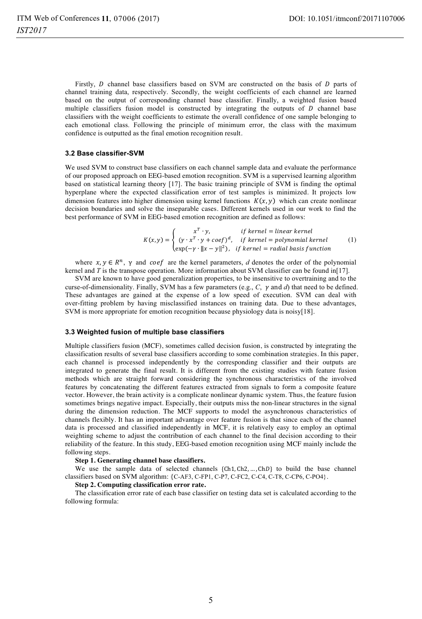Firstly, D channel base classifiers based on SVM are constructed on the basis of D parts of channel training data, respectively. Secondly, the weight coefficients of each channel are learned based on the output of corresponding channel base classifier. Finally, a weighted fusion based multiple classifiers fusion model is constructed by integrating the outputs of  $D$  channel base classifiers with the weight coefficients to estimate the overall confidence of one sample belonging to each emotional class. Following the principle of minimum error, the class with the maximum confidence is outputted as the final emotion recognition result.

#### **3.2 Base classifier-SVM**

We used SVM to construct base classifiers on each channel sample data and evaluate the performance of our proposed approach on EEG-based emotion recognition. SVM is a supervised learning algorithm based on statistical learning theory [17]. The basic training principle of SVM is finding the optimal hyperplane where the expected classification error of test samples is minimized. It projects low dimension features into higher dimension using kernel functions  $K(x, y)$  which can create nonlinear decision boundaries and solve the inseparable cases. Different kernels used in our work to find the best performance of SVM in EEG-based emotion recognition are defined as follows:

$$
K(x,y) = \begin{cases} x^T \cdot y, & \text{if } kernel = linear & \text{kernel} \\ (y \cdot x^T \cdot y + \cos f)^d, & \text{if } kernel = polynomial & \text{kernel} \\ \exp(-y \cdot ||x - y||^2), & \text{if } kernel = radial & \text{basis function} \end{cases}
$$
 (1)

where  $x, y \in R^n$ ,  $\gamma$  and *coef* are the kernel parameters, *d* denotes the order of the polynomial kernel and *T* is the transpose operation. More information about SVM classifier can be found in[17].

SVM are known to have good generalization properties, to be insensitive to overtraining and to the curse-of-dimensionality. Finally, SVM has a few parameters (e.g.,  $C$ ,  $\gamma$  and  $d$ ) that need to be defined. These advantages are gained at the expense of a low speed of execution. SVM can deal with over-fitting problem by having misclassified instances on training data. Due to these advantages, SVM is more appropriate for emotion recognition because physiology data is noisy[18].

#### **3.3 Weighted fusion of multiple base classifiers**

Multiple classifiers fusion (MCF), sometimes called decision fusion, is constructed by integrating the classification results of several base classifiers according to some combination strategies. In this paper, each channel is processed independently by the corresponding classifier and their outputs are integrated to generate the final result. It is different from the existing studies with feature fusion methods which are straight forward considering the synchronous characteristics of the involved features by concatenating the different features extracted from signals to form a composite feature vector. However, the brain activity is a complicate nonlinear dynamic system. Thus, the feature fusion sometimes brings negative impact. Especially, their outputs miss the non-linear structures in the signal during the dimension reduction. The MCF supports to model the asynchronous characteristics of channels flexibly. It has an important advantage over feature fusion is that since each of the channel data is processed and classified independently in MCF, it is relatively easy to employ an optimal weighting scheme to adjust the contribution of each channel to the final decision according to their reliability of the feature. In this study, EEG-based emotion recognition using MCF mainly include the following steps.

#### **Step 1. Generating channel base classifiers.**

We use the sample data of selected channels  ${Ch1, Ch2, ..., ChD}$  to build the base channel classifiers based on SVM algorithm: {C-AF3, C-FP1, C-P7, C-FC2, C-C4, C-T8, C-CP6, C-PO4}.

### **Step 2. Computing classification error rate.**

The classification error rate of each base classifier on testing data set is calculated according to the following formula: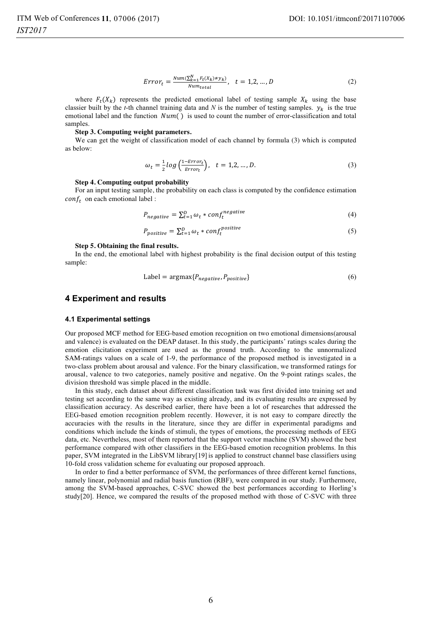$$
Error_t = \frac{Num(\sum_{k=1}^{N} F_t(X_k) \neq y_k)}{Num_{total}}, \quad t = 1, 2, ..., D
$$
\n
$$
(2)
$$

where  $F_t(X_k)$  represents the predicted emotional label of testing sample  $X_k$  using the base classier built by the *t*-th channel training data and *N* is the number of testing samples.  $y_k$  is the true emotional label and the function  $Num()$  is used to count the number of error-classification and total samples.

#### **Step 3. Computing weight parameters.**

We can get the weight of classification model of each channel by formula (3) which is computed as below:

$$
\omega_t = \frac{1}{2} \log \left( \frac{1 - Error_t}{Error_t} \right), \quad t = 1, 2, ..., D. \tag{3}
$$

#### **Step 4. Computing output probability**

For an input testing sample, the probability on each class is computed by the confidence estimation  $conf_t$  on each emotional label :

$$
P_{negative} = \sum_{t=1}^{D} \omega_t * conf_t^{negative}
$$
\n
$$
\tag{4}
$$

$$
P_{positive} = \sum_{t=1}^{D} \omega_t * conf_t^{positive}
$$
\n
$$
\tag{5}
$$

#### **Step 5. Obtaining the final results.**

In the end, the emotional label with highest probability is the final decision output of this testing sample:

$$
Label = argmax\{P_{negative}, P_{positive}\} \tag{6}
$$

### **4 Experiment and results**

#### **4.1 Experimental settings**

Our proposed MCF method for EEG-based emotion recognition on two emotional dimensions(arousal and valence) is evaluated on the DEAP dataset. In this study, the participants' ratings scales during the emotion elicitation experiment are used as the ground truth. According to the unnormalized SAM-ratings values on a scale of 1-9, the performance of the proposed method is investigated in a two-class problem about arousal and valence. For the binary classification, we transformed ratings for arousal, valence to two categories, namely positive and negative. On the 9-point ratings scales, the division threshold was simple placed in the middle.

In this study, each dataset about different classification task was first divided into training set and testing set according to the same way as existing already, and its evaluating results are expressed by classification accuracy. As described earlier, there have been a lot of researches that addressed the EEG-based emotion recognition problem recently. However, it is not easy to compare directly the accuracies with the results in the literature, since they are differ in experimental paradigms and conditions which include the kinds of stimuli, the types of emotions, the processing methods of EEG data, etc. Nevertheless, most of them reported that the support vector machine (SVM) showed the best performance compared with other classifiers in the EEG-based emotion recognition problems. In this paper, SVM integrated in the LibSVM library[19]is applied to construct channel base classifiers using 10-fold cross validation scheme for evaluating our proposed approach.

In order to find a better performance of SVM, the performances of three different kernel functions, namely linear, polynomial and radial basis function (RBF), were compared in our study. Furthermore, among the SVM-based approaches, C-SVC showed the best performances according to Horling's study[20]. Hence, we compared the results of the proposed method with those of C-SVC with three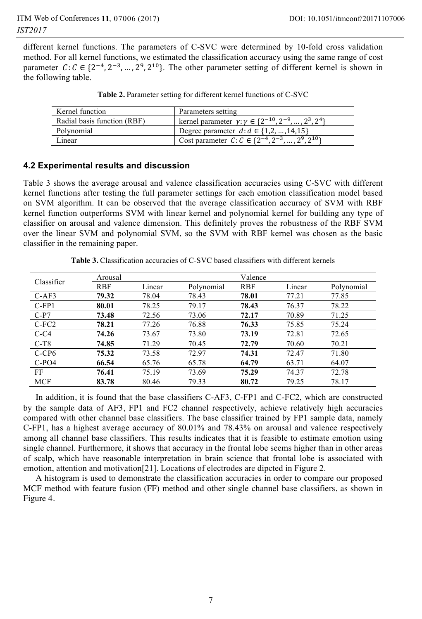different kernel functions. The parameters of C-SVC were determined by 10-fold cross validation method. For all kernel functions, we estimated the classification accuracy using the same range of cost parameter  $C: C \in \{2^{-4}, 2^{-3}, ..., 2^9, 2^{10}\}$ . The other parameter setting of different kernel is shown in the following table.

| Kernel function             | Parameters setting                                                    |
|-----------------------------|-----------------------------------------------------------------------|
| Radial basis function (RBF) | kernel parameter $\gamma: \gamma \in \{2^{-10}, 2^{-9}, , 2^3, 2^4\}$ |
| Polynomial                  | Degree parameter <i>d</i> : <i>d</i> ∈ {1,2, , 14, 15}                |
| Linear                      | Cost parameter $C: C \in \{2^{-4}, 2^{-3}, , 2^{9}, 2^{10}\}\$        |

**Table 2.** Parameter setting for different kernel functions of C-SVC

## **4.2 Experimental results and discussion**

Table 3 shows the average arousal and valence classification accuracies using C-SVC with different kernel functions after testing the full parameter settings for each emotion classification model based on SVM algorithm. It can be observed that the average classification accuracy of SVM with RBF kernel function outperforms SVM with linear kernel and polynomial kernel for building any type of classifier on arousal and valence dimension. This definitely proves the robustness of the RBF SVM over the linear SVM and polynomial SVM, so the SVM with RBF kernel was chosen as the basic classifier in the remaining paper.

**Table 3.** Classification accuracies of C-SVC based classifiers with different kernels

| Classifier        | Arousal |        |            | Valence    |        |            |
|-------------------|---------|--------|------------|------------|--------|------------|
|                   | RBF     | Linear | Polynomial | <b>RBF</b> | Linear | Polynomial |
| $C-AF3$           | 79.32   | 78.04  | 78.43      | 78.01      | 77.21  | 77.85      |
| $C$ -FP1          | 80.01   | 78.25  | 79.17      | 78.43      | 76.37  | 78.22      |
| $C-P7$            | 73.48   | 72.56  | 73.06      | 72.17      | 70.89  | 71.25      |
| C-FC <sub>2</sub> | 78.21   | 77.26  | 76.88      | 76.33      | 75.85  | 75.24      |
| $C-C4$            | 74.26   | 73.67  | 73.80      | 73.19      | 72.81  | 72.65      |
| $C-T8$            | 74.85   | 71.29  | 70.45      | 72.79      | 70.60  | 70.21      |
| $C-CP6$           | 75.32   | 73.58  | 72.97      | 74.31      | 72.47  | 71.80      |
| $C-PO4$           | 66.54   | 65.76  | 65.78      | 64.79      | 63.71  | 64.07      |
| FF                | 76.41   | 75.19  | 73.69      | 75.29      | 74.37  | 72.78      |
| <b>MCF</b>        | 83.78   | 80.46  | 79.33      | 80.72      | 79.25  | 78.17      |

In addition, it is found that the base classifiers C-AF3, C-FP1 and C-FC2, which are constructed by the sample data of AF3, FP1 and FC2 channel respectively, achieve relatively high accuracies compared with other channel base classifiers. The base classifier trained by FP1 sample data, namely C-FP1, has a highest average accuracy of 80.01% and 78.43% on arousal and valence respectively among all channel base classifiers. This results indicates that it is feasible to estimate emotion using single channel. Furthermore, it shows that accuracy in the frontal lobe seems higher than in other areas of scalp, which have reasonable interpretation in brain science that frontal lobe is associated with emotion, attention and motivation[21]. Locations of electrodes are dipcted in Figure 2.

A histogram is used to demonstrate the classification accuracies in order to compare our proposed MCF method with feature fusion (FF) method and other single channel base classifiers, as shown in Figure 4.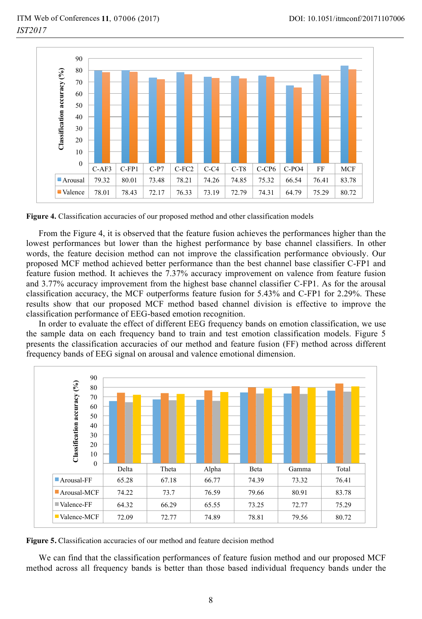

**Figure 4.** Classification accuracies of our proposed method and other classification models

From the Figure 4, it is observed that the feature fusion achieves the performances higher than the lowest performances but lower than the highest performance by base channel classifiers. In other words, the feature decision method can not improve the classification performance obviously. Our proposed MCF method achieved better performance than the best channel base classifier C-FP1 and feature fusion method. It achieves the 7.37% accuracy improvement on valence from feature fusion and 3.77% accuracy improvement from the highest base channel classifier C-FP1. As for the arousal classification accuracy, the MCF outperforms feature fusion for 5.43% and C-FP1 for 2.29%. These results show that our proposed MCF method based channel division is effective to improve the classification performance of EEG-based emotion recognition.

In order to evaluate the effect of different EEG frequency bands on emotion classification, we use the sample data on each frequency band to train and test emotion classification models. Figure 5 presents the classification accuracies of our method and feature fusion (FF) method across different frequency bands of EEG signal on arousal and valence emotional dimension.



**Figure 5.** Classification accuracies of our method and feature decision method

We can find that the classification performances of feature fusion method and our proposed MCF method across all frequency bands is better than those based individual frequency bands under the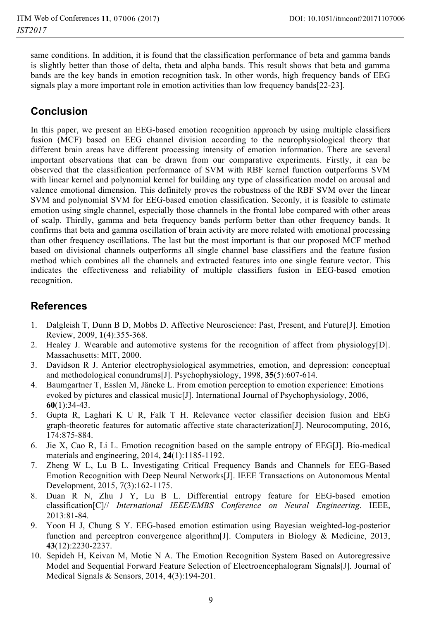same conditions. In addition, it is found that the classification performance of beta and gamma bands is slightly better than those of delta, theta and alpha bands. This result shows that beta and gamma bands are the key bands in emotion recognition task. In other words, high frequency bands of EEG signals play a more important role in emotion activities than low frequency bands[22-23].

# **Conclusion**

In this paper, we present an EEG-based emotion recognition approach by using multiple classifiers fusion (MCF) based on EEG channel division according to the neurophysiological theory that different brain areas have different processing intensity of emotion information. There are several important observations that can be drawn from our comparative experiments. Firstly, it can be observed that the classification performance of SVM with RBF kernel function outperforms SVM with linear kernel and polynomial kernel for building any type of classification model on arousal and valence emotional dimension. This definitely proves the robustness of the RBF SVM over the linear SVM and polynomial SVM for EEG-based emotion classification. Seconly, it is feasible to estimate emotion using single channel, especially those channels in the frontal lobe compared with other areas of scalp. Thirdly, gamma and beta frequency bands perform better than other frequency bands. It confirms that beta and gamma oscillation of brain activity are more related with emotional processing than other frequency oscillations. The last but the most important is that our proposed MCF method based on divisional channels outperforms all single channel base classifiers and the feature fusion method which combines all the channels and extracted features into one single feature vector. This indicates the effectiveness and reliability of multiple classifiers fusion in EEG-based emotion recognition.

# **References**

- 1. Dalgleish T, Dunn B D, Mobbs D. Affective Neuroscience: Past, Present, and Future[J]. Emotion Review, 2009, **1**(4):355-368.
- 2. Healey J. Wearable and automotive systems for the recognition of affect from physiology[D]. Massachusetts: MIT, 2000.
- 3. Davidson R J. Anterior electrophysiological asymmetries, emotion, and depression: conceptual and methodological conundrums[J]. Psychophysiology, 1998, **35**(5):607-614.
- 4. Baumgartner T, Esslen M, Jäncke L. From emotion perception to emotion experience: Emotions evoked by pictures and classical music[J]. International Journal of Psychophysiology, 2006, **60**(1):34-43.
- 5. Gupta R, Laghari K U R, Falk T H. Relevance vector classifier decision fusion and EEG graph-theoretic features for automatic affective state characterization[J]. Neurocomputing, 2016, 174:875-884.
- 6. Jie X, Cao R, Li L. Emotion recognition based on the sample entropy of EEG[J]. Bio-medical materials and engineering, 2014, **24**(1):1185-1192.
- 7. Zheng W L, Lu B L. Investigating Critical Frequency Bands and Channels for EEG-Based Emotion Recognition with Deep Neural Networks[J]. IEEE Transactions on Autonomous Mental Development, 2015, 7(3):162-1175.
- 8. Duan R N, Zhu J Y, Lu B L. Differential entropy feature for EEG-based emotion classification[C]// *International IEEE/EMBS Conference on Neural Engineering*. IEEE, 2013:81-84.
- 9. Yoon H J, Chung S Y. EEG-based emotion estimation using Bayesian weighted-log-posterior function and perceptron convergence algorithm[J]. Computers in Biology & Medicine, 2013, **43**(12):2230-2237.
- 10. Sepideh H, Keivan M, Motie N A. The Emotion Recognition System Based on Autoregressive Model and Sequential Forward Feature Selection of Electroencephalogram Signals[J]. Journal of Medical Signals & Sensors, 2014, **4**(3):194-201.